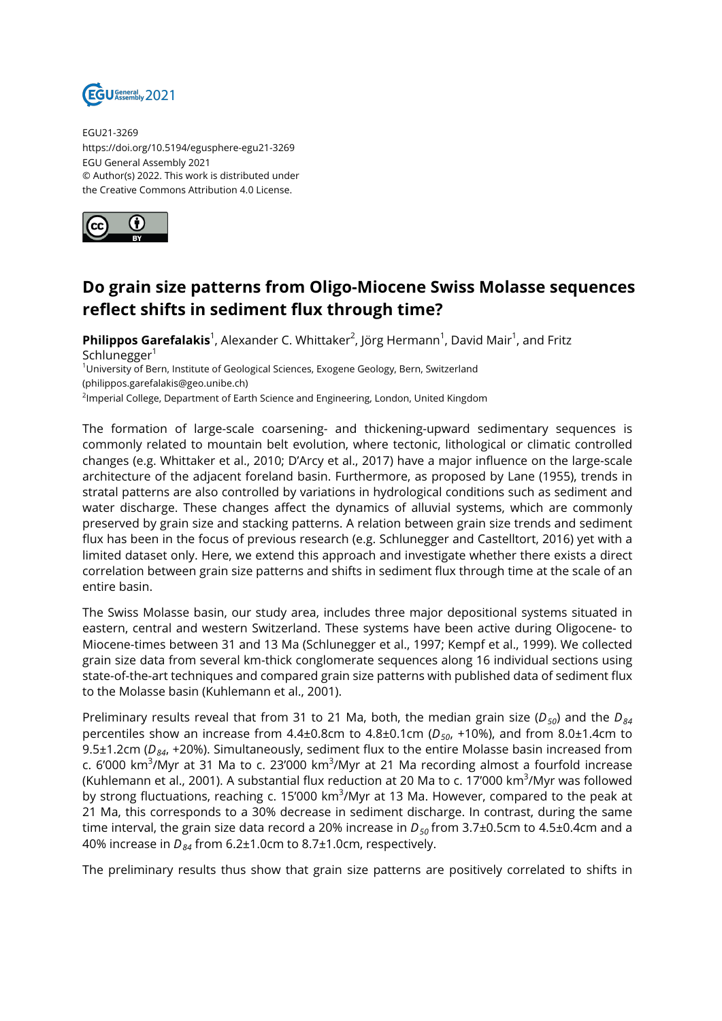

EGU21-3269 https://doi.org/10.5194/egusphere-egu21-3269 EGU General Assembly 2021 © Author(s) 2022. This work is distributed under the Creative Commons Attribution 4.0 License.



## **Do grain size patterns from Oligo-Miocene Swiss Molasse sequences reflect shifts in sediment flux through time?**

**Philippos Garefalakis**<sup>1</sup>, Alexander C. Whittaker<sup>2</sup>, Jörg Hermann<sup>1</sup>, David Mair<sup>1</sup>, and Fritz Schlunegger $1$ 

<sup>1</sup>University of Bern, Institute of Geological Sciences, Exogene Geology, Bern, Switzerland

(philippos.garefalakis@geo.unibe.ch)

<sup>2</sup>Imperial College, Department of Earth Science and Engineering, London, United Kingdom

The formation of large-scale coarsening- and thickening-upward sedimentary sequences is commonly related to mountain belt evolution, where tectonic, lithological or climatic controlled changes (e.g. Whittaker et al., 2010; D'Arcy et al., 2017) have a major influence on the large-scale architecture of the adjacent foreland basin. Furthermore, as proposed by Lane (1955), trends in stratal patterns are also controlled by variations in hydrological conditions such as sediment and water discharge. These changes affect the dynamics of alluvial systems, which are commonly preserved by grain size and stacking patterns. A relation between grain size trends and sediment flux has been in the focus of previous research (e.g. Schlunegger and Castelltort, 2016) yet with a limited dataset only. Here, we extend this approach and investigate whether there exists a direct correlation between grain size patterns and shifts in sediment flux through time at the scale of an entire basin.

The Swiss Molasse basin, our study area, includes three major depositional systems situated in eastern, central and western Switzerland. These systems have been active during Oligocene- to Miocene-times between 31 and 13 Ma (Schlunegger et al., 1997; Kempf et al., 1999). We collected grain size data from several km-thick conglomerate sequences along 16 individual sections using state-of-the-art techniques and compared grain size patterns with published data of sediment flux to the Molasse basin (Kuhlemann et al., 2001).

Preliminary results reveal that from 31 to 21 Ma, both, the median grain size (*D50*) and the *D<sup>84</sup>* percentiles show an increase from 4.4±0.8cm to 4.8±0.1cm (*D50*, +10%), and from 8.0±1.4cm to 9.5±1.2cm (*D84*, +20%). Simultaneously, sediment flux to the entire Molasse basin increased from c. 6'000 km<sup>3</sup>/Myr at 31 Ma to c. 23'000 km<sup>3</sup>/Myr at 21 Ma recording almost a fourfold increase (Kuhlemann et al., 2001). A substantial flux reduction at 20 Ma to c. 17'000 km<sup>3</sup>/Myr was followed by strong fluctuations, reaching c. 15'000 km<sup>3</sup>/Myr at 13 Ma. However, compared to the peak at 21 Ma, this corresponds to a 30% decrease in sediment discharge. In contrast, during the same time interval, the grain size data record a 20% increase in  $D_{50}$  from 3.7±0.5cm to 4.5±0.4cm and a 40% increase in *D84* from 6.2±1.0cm to 8.7±1.0cm, respectively.

The preliminary results thus show that grain size patterns are positively correlated to shifts in